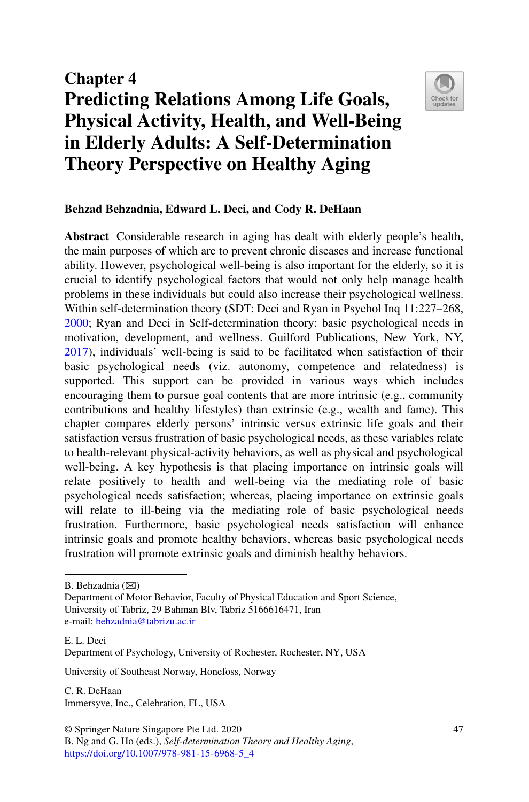# **Chapter 4 Predicting Relations Among Life Goals, Physical Activity, Health, and Well-Being in Elderly Adults: A Self-Determination Theory Perspective on Healthy Aging**



## **Behzad Behzadnia, Edward L. Deci, and Cody R. DeHaan**

**Abstract** Considerable research in aging has dealt with elderly people's health, the main purposes of which are to prevent chronic diseases and increase functional ability. However, psychological well-being is also important for the elderly, so it is crucial to identify psychological factors that would not only help manage health problems in these individuals but could also increase their psychological wellness. Within self-determination theory (SDT: Deci and Ryan in Psychol Inq 11:227–268, [2000;](#page-21-0) Ryan and Deci in Self-determination theory: basic psychological needs in motivation, development, and wellness. Guilford Publications, New York, NY, [2017\)](#page-23-0), individuals' well-being is said to be facilitated when satisfaction of their basic psychological needs (viz. autonomy, competence and relatedness) is supported. This support can be provided in various ways which includes encouraging them to pursue goal contents that are more intrinsic (e.g., community contributions and healthy lifestyles) than extrinsic (e.g., wealth and fame). This chapter compares elderly persons' intrinsic versus extrinsic life goals and their satisfaction versus frustration of basic psychological needs, as these variables relate to health-relevant physical-activity behaviors, as well as physical and psychological well-being. A key hypothesis is that placing importance on intrinsic goals will relate positively to health and well-being via the mediating role of basic psychological needs satisfaction; whereas, placing importance on extrinsic goals will relate to ill-being via the mediating role of basic psychological needs frustration. Furthermore, basic psychological needs satisfaction will enhance intrinsic goals and promote healthy behaviors, whereas basic psychological needs frustration will promote extrinsic goals and diminish healthy behaviors.

C. R. DeHaan Immersyve, Inc., Celebration, FL, USA

B. Behzadnia  $(\boxtimes)$ 

Department of Motor Behavior, Faculty of Physical Education and Sport Science, University of Tabriz, 29 Bahman Blv, Tabriz 5166616471, Iran e-mail: [behzadnia@tabrizu.ac.ir](mailto:behzadnia@tabrizu.ac.ir)

E. L. Deci Department of Psychology, University of Rochester, Rochester, NY, USA

University of Southeast Norway, Honefoss, Norway

<sup>©</sup> Springer Nature Singapore Pte Ltd. 2020

B. Ng and G. Ho (eds.), *Self-determination Theory and Healthy Aging*, [https://doi.org/10.1007/978-981-15-6968-5\\_4](https://doi.org/10.1007/978-981-15-6968-5_4)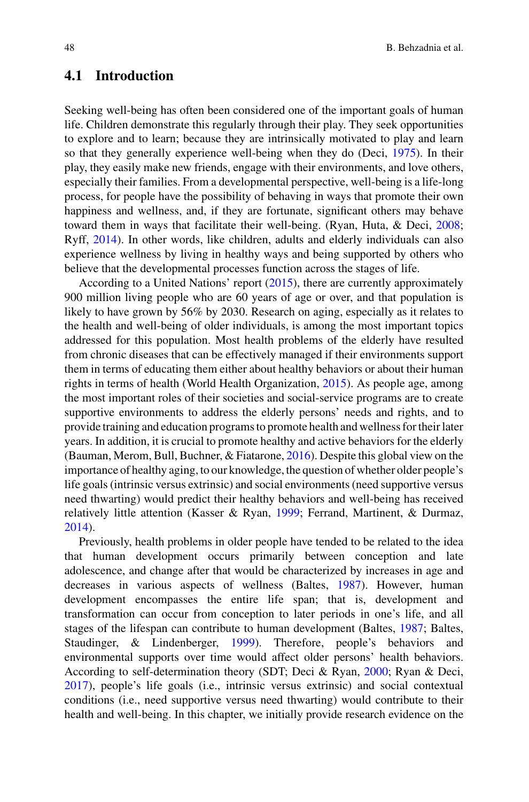# **4.1 Introduction**

Seeking well-being has often been considered one of the important goals of human life. Children demonstrate this regularly through their play. They seek opportunities to explore and to learn; because they are intrinsically motivated to play and learn so that they generally experience well-being when they do (Deci, [1975\)](#page-21-1). In their play, they easily make new friends, engage with their environments, and love others, especially their families. From a developmental perspective, well-being is a life-long process, for people have the possibility of behaving in ways that promote their own happiness and wellness, and, if they are fortunate, significant others may behave toward them in ways that facilitate their well-being. (Ryan, Huta, & Deci, [2008;](#page-23-1) Ryff, [2014\)](#page-23-2). In other words, like children, adults and elderly individuals can also experience wellness by living in healthy ways and being supported by others who believe that the developmental processes function across the stages of life.

According to a United Nations' report [\(2015\)](#page-23-3), there are currently approximately 900 million living people who are 60 years of age or over, and that population is likely to have grown by 56% by 2030. Research on aging, especially as it relates to the health and well-being of older individuals, is among the most important topics addressed for this population. Most health problems of the elderly have resulted from chronic diseases that can be effectively managed if their environments support them in terms of educating them either about healthy behaviors or about their human rights in terms of health (World Health Organization, [2015\)](#page-24-0). As people age, among the most important roles of their societies and social-service programs are to create supportive environments to address the elderly persons' needs and rights, and to provide training and education programs to promote health and wellness for their later years. In addition, it is crucial to promote healthy and active behaviors for the elderly (Bauman, Merom, Bull, Buchner, & Fiatarone, [2016\)](#page-21-2). Despite this global view on the importance of healthy aging, to our knowledge, the question of whether older people's life goals (intrinsic versus extrinsic) and social environments (need supportive versus need thwarting) would predict their healthy behaviors and well-being has received relatively little attention (Kasser & Ryan, [1999;](#page-22-0) Ferrand, Martinent, & Durmaz, [2014\)](#page-22-1).

Previously, health problems in older people have tended to be related to the idea that human development occurs primarily between conception and late adolescence, and change after that would be characterized by increases in age and decreases in various aspects of wellness (Baltes, [1987\)](#page-21-3). However, human development encompasses the entire life span; that is, development and transformation can occur from conception to later periods in one's life, and all stages of the lifespan can contribute to human development (Baltes, [1987;](#page-21-3) Baltes, Staudinger, & Lindenberger, [1999\)](#page-21-4). Therefore, people's behaviors and environmental supports over time would affect older persons' health behaviors. According to self-determination theory (SDT; Deci & Ryan, [2000;](#page-21-0) Ryan & Deci, [2017\)](#page-23-0), people's life goals (i.e., intrinsic versus extrinsic) and social contextual conditions (i.e., need supportive versus need thwarting) would contribute to their health and well-being. In this chapter, we initially provide research evidence on the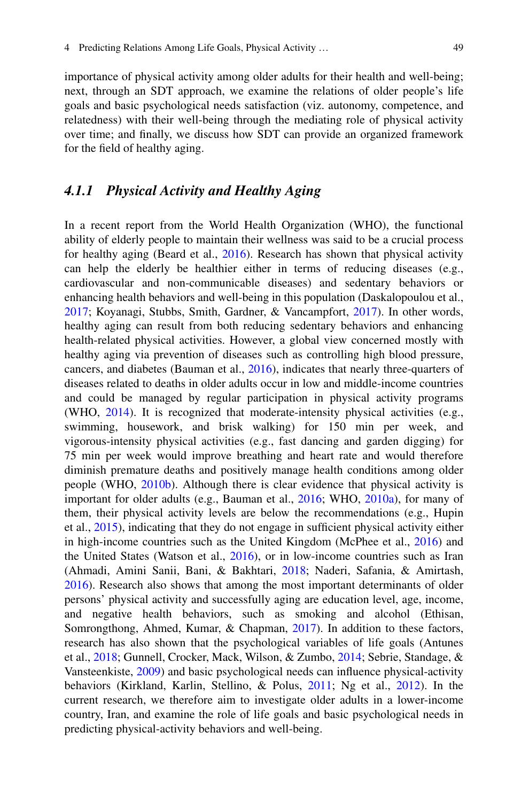importance of physical activity among older adults for their health and well-being; next, through an SDT approach, we examine the relations of older people's life goals and basic psychological needs satisfaction (viz. autonomy, competence, and relatedness) with their well-being through the mediating role of physical activity over time; and finally, we discuss how SDT can provide an organized framework for the field of healthy aging.

# *4.1.1 Physical Activity and Healthy Aging*

In a recent report from the World Health Organization (WHO), the functional ability of elderly people to maintain their wellness was said to be a crucial process for healthy aging (Beard et al., [2016\)](#page-21-5). Research has shown that physical activity can help the elderly be healthier either in terms of reducing diseases (e.g., cardiovascular and non-communicable diseases) and sedentary behaviors or enhancing health behaviors and well-being in this population (Daskalopoulou et al., [2017;](#page-21-6) Koyanagi, Stubbs, Smith, Gardner, & Vancampfort, [2017\)](#page-22-2). In other words, healthy aging can result from both reducing sedentary behaviors and enhancing health-related physical activities. However, a global view concerned mostly with healthy aging via prevention of diseases such as controlling high blood pressure, cancers, and diabetes (Bauman et al., [2016\)](#page-21-2), indicates that nearly three-quarters of diseases related to deaths in older adults occur in low and middle-income countries and could be managed by regular participation in physical activity programs (WHO, [2014\)](#page-24-1). It is recognized that moderate-intensity physical activities (e.g., swimming, housework, and brisk walking) for 150 min per week, and vigorous-intensity physical activities (e.g., fast dancing and garden digging) for 75 min per week would improve breathing and heart rate and would therefore diminish premature deaths and positively manage health conditions among older people (WHO, [2010b\)](#page-24-2). Although there is clear evidence that physical activity is important for older adults (e.g., Bauman et al., [2016;](#page-21-2) WHO, [2010a\)](#page-24-3), for many of them, their physical activity levels are below the recommendations (e.g., Hupin et al., [2015\)](#page-22-3), indicating that they do not engage in sufficient physical activity either in high-income countries such as the United Kingdom (McPhee et al., [2016\)](#page-22-4) and the United States (Watson et al., [2016\)](#page-24-4), or in low-income countries such as Iran (Ahmadi, Amini Sanii, Bani, & Bakhtari, [2018;](#page-21-7) Naderi, Safania, & Amirtash, [2016\)](#page-23-4). Research also shows that among the most important determinants of older persons' physical activity and successfully aging are education level, age, income, and negative health behaviors, such as smoking and alcohol (Ethisan, Somrongthong, Ahmed, Kumar, & Chapman, [2017\)](#page-22-5). In addition to these factors, research has also shown that the psychological variables of life goals (Antunes et al., [2018;](#page-21-8) Gunnell, Crocker, Mack, Wilson, & Zumbo, [2014;](#page-22-6) Sebrie, Standage, & Vansteenkiste, [2009\)](#page-23-5) and basic psychological needs can influence physical-activity behaviors (Kirkland, Karlin, Stellino, & Polus, [2011;](#page-22-7) Ng et al., [2012\)](#page-23-6). In the current research, we therefore aim to investigate older adults in a lower-income country, Iran, and examine the role of life goals and basic psychological needs in predicting physical-activity behaviors and well-being.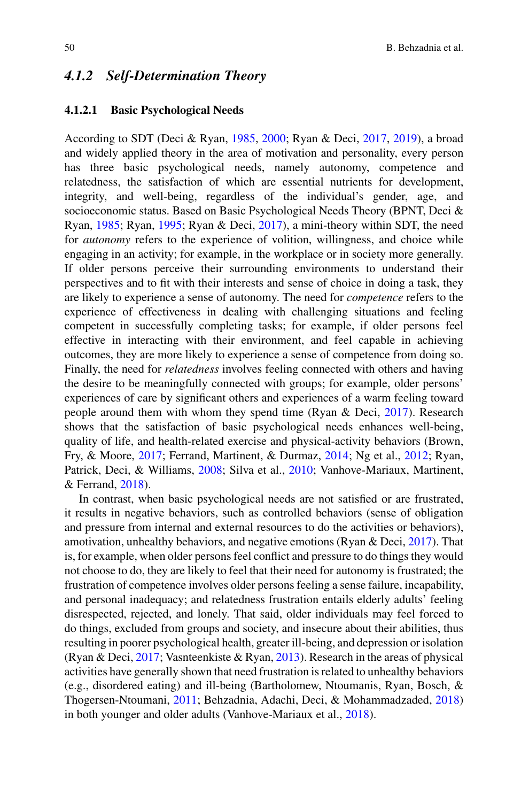# *4.1.2 Self-Determination Theory*

#### **4.1.2.1 Basic Psychological Needs**

According to SDT (Deci & Ryan, [1985,](#page-21-9) [2000;](#page-21-0) Ryan & Deci, [2017,](#page-23-0) [2019\)](#page-23-7), a broad and widely applied theory in the area of motivation and personality, every person has three basic psychological needs, namely autonomy, competence and relatedness, the satisfaction of which are essential nutrients for development, integrity, and well-being, regardless of the individual's gender, age, and socioeconomic status. Based on Basic Psychological Needs Theory (BPNT, Deci & Ryan, [1985;](#page-21-9) Ryan, [1995;](#page-23-8) Ryan & Deci, [2017\)](#page-23-0), a mini-theory within SDT, the need for *autonomy* refers to the experience of volition, willingness, and choice while engaging in an activity; for example, in the workplace or in society more generally. If older persons perceive their surrounding environments to understand their perspectives and to fit with their interests and sense of choice in doing a task, they are likely to experience a sense of autonomy. The need for *competence* refers to the experience of effectiveness in dealing with challenging situations and feeling competent in successfully completing tasks; for example, if older persons feel effective in interacting with their environment, and feel capable in achieving outcomes, they are more likely to experience a sense of competence from doing so. Finally, the need for *relatedness* involves feeling connected with others and having the desire to be meaningfully connected with groups; for example, older persons' experiences of care by significant others and experiences of a warm feeling toward people around them with whom they spend time (Ryan & Deci, [2017\)](#page-23-0). Research shows that the satisfaction of basic psychological needs enhances well-being, quality of life, and health-related exercise and physical-activity behaviors (Brown, Fry, & Moore, [2017;](#page-21-10) Ferrand, Martinent, & Durmaz, [2014;](#page-22-1) Ng et al., [2012;](#page-23-6) Ryan, Patrick, Deci, & Williams, [2008;](#page-23-9) Silva et al., [2010;](#page-23-10) Vanhove-Mariaux, Martinent, & Ferrand, [2018\)](#page-24-5).

In contrast, when basic psychological needs are not satisfied or are frustrated, it results in negative behaviors, such as controlled behaviors (sense of obligation and pressure from internal and external resources to do the activities or behaviors), amotivation, unhealthy behaviors, and negative emotions (Ryan & Deci, [2017\)](#page-23-0). That is, for example, when older persons feel conflict and pressure to do things they would not choose to do, they are likely to feel that their need for autonomy is frustrated; the frustration of competence involves older persons feeling a sense failure, incapability, and personal inadequacy; and relatedness frustration entails elderly adults' feeling disrespected, rejected, and lonely. That said, older individuals may feel forced to do things, excluded from groups and society, and insecure about their abilities, thus resulting in poorer psychological health, greater ill-being, and depression or isolation (Ryan & Deci, [2017;](#page-23-0) Vasnteenkiste & Ryan, [2013\)](#page-24-6). Research in the areas of physical activities have generally shown that need frustration is related to unhealthy behaviors (e.g., disordered eating) and ill-being (Bartholomew, Ntoumanis, Ryan, Bosch, & Thogersen-Ntoumani, [2011;](#page-21-11) Behzadnia, Adachi, Deci, & Mohammadzaded, [2018\)](#page-21-12) in both younger and older adults (Vanhove-Mariaux et al., [2018\)](#page-24-5).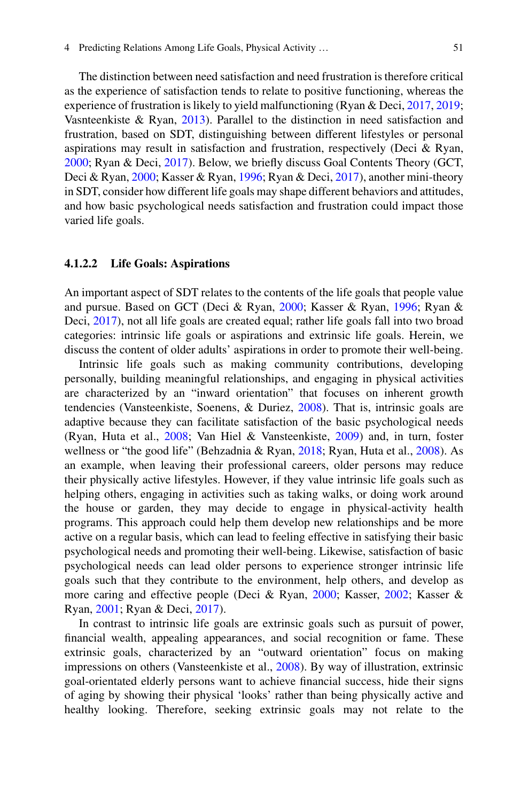The distinction between need satisfaction and need frustration is therefore critical as the experience of satisfaction tends to relate to positive functioning, whereas the experience of frustration is likely to yield malfunctioning (Ryan & Deci, [2017,](#page-23-0) [2019;](#page-23-7) Vasnteenkiste & Ryan, [2013\)](#page-24-6). Parallel to the distinction in need satisfaction and frustration, based on SDT, distinguishing between different lifestyles or personal aspirations may result in satisfaction and frustration, respectively (Deci & Ryan, [2000;](#page-21-0) Ryan & Deci, [2017\)](#page-23-0). Below, we briefly discuss Goal Contents Theory (GCT, Deci & Ryan, [2000;](#page-21-0) Kasser & Ryan, [1996;](#page-22-8) Ryan & Deci, [2017\)](#page-23-0), another mini-theory in SDT, consider how different life goals may shape different behaviors and attitudes, and how basic psychological needs satisfaction and frustration could impact those varied life goals.

#### **4.1.2.2 Life Goals: Aspirations**

An important aspect of SDT relates to the contents of the life goals that people value and pursue. Based on GCT (Deci & Ryan, [2000;](#page-21-0) Kasser & Ryan, [1996;](#page-22-8) Ryan & Deci, [2017\)](#page-23-0), not all life goals are created equal; rather life goals fall into two broad categories: intrinsic life goals or aspirations and extrinsic life goals. Herein, we discuss the content of older adults' aspirations in order to promote their well-being.

Intrinsic life goals such as making community contributions, developing personally, building meaningful relationships, and engaging in physical activities are characterized by an "inward orientation" that focuses on inherent growth tendencies (Vansteenkiste, Soenens, & Duriez, [2008\)](#page-24-7). That is, intrinsic goals are adaptive because they can facilitate satisfaction of the basic psychological needs (Ryan, Huta et al., [2008;](#page-23-1) Van Hiel & Vansteenkiste, [2009\)](#page-24-8) and, in turn, foster wellness or "the good life" (Behzadnia & Ryan, [2018;](#page-21-13) Ryan, Huta et al., [2008\)](#page-23-1). As an example, when leaving their professional careers, older persons may reduce their physically active lifestyles. However, if they value intrinsic life goals such as helping others, engaging in activities such as taking walks, or doing work around the house or garden, they may decide to engage in physical-activity health programs. This approach could help them develop new relationships and be more active on a regular basis, which can lead to feeling effective in satisfying their basic psychological needs and promoting their well-being. Likewise, satisfaction of basic psychological needs can lead older persons to experience stronger intrinsic life goals such that they contribute to the environment, help others, and develop as more caring and effective people (Deci & Ryan, [2000;](#page-21-0) Kasser, [2002;](#page-22-9) Kasser & Ryan, [2001;](#page-22-10) Ryan & Deci, [2017\)](#page-23-0).

In contrast to intrinsic life goals are extrinsic goals such as pursuit of power, financial wealth, appealing appearances, and social recognition or fame. These extrinsic goals, characterized by an "outward orientation" focus on making impressions on others (Vansteenkiste et al., [2008\)](#page-24-7). By way of illustration, extrinsic goal-orientated elderly persons want to achieve financial success, hide their signs of aging by showing their physical 'looks' rather than being physically active and healthy looking. Therefore, seeking extrinsic goals may not relate to the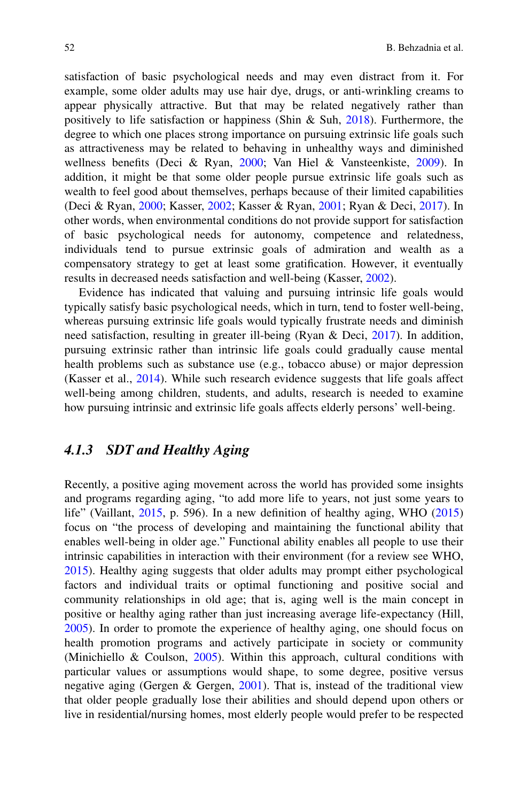satisfaction of basic psychological needs and may even distract from it. For example, some older adults may use hair dye, drugs, or anti-wrinkling creams to appear physically attractive. But that may be related negatively rather than positively to life satisfaction or happiness (Shin & Suh,  $2018$ ). Furthermore, the degree to which one places strong importance on pursuing extrinsic life goals such as attractiveness may be related to behaving in unhealthy ways and diminished wellness benefits (Deci & Ryan, [2000;](#page-21-0) Van Hiel & Vansteenkiste, [2009\)](#page-24-8). In addition, it might be that some older people pursue extrinsic life goals such as wealth to feel good about themselves, perhaps because of their limited capabilities (Deci & Ryan, [2000;](#page-21-0) Kasser, [2002;](#page-22-9) Kasser & Ryan, [2001;](#page-22-10) Ryan & Deci, [2017\)](#page-23-0). In other words, when environmental conditions do not provide support for satisfaction of basic psychological needs for autonomy, competence and relatedness, individuals tend to pursue extrinsic goals of admiration and wealth as a compensatory strategy to get at least some gratification. However, it eventually results in decreased needs satisfaction and well-being (Kasser, [2002\)](#page-22-9).

Evidence has indicated that valuing and pursuing intrinsic life goals would typically satisfy basic psychological needs, which in turn, tend to foster well-being, whereas pursuing extrinsic life goals would typically frustrate needs and diminish need satisfaction, resulting in greater ill-being (Ryan & Deci, [2017\)](#page-23-0). In addition, pursuing extrinsic rather than intrinsic life goals could gradually cause mental health problems such as substance use (e.g., tobacco abuse) or major depression (Kasser et al.,  $2014$ ). While such research evidence suggests that life goals affect well-being among children, students, and adults, research is needed to examine how pursuing intrinsic and extrinsic life goals affects elderly persons' well-being.

# *4.1.3 SDT and Healthy Aging*

Recently, a positive aging movement across the world has provided some insights and programs regarding aging, "to add more life to years, not just some years to life" (Vaillant, [2015,](#page-24-9) p. 596). In a new definition of healthy aging, WHO [\(2015\)](#page-24-0) focus on "the process of developing and maintaining the functional ability that enables well-being in older age." Functional ability enables all people to use their intrinsic capabilities in interaction with their environment (for a review see WHO, [2015\)](#page-24-0). Healthy aging suggests that older adults may prompt either psychological factors and individual traits or optimal functioning and positive social and community relationships in old age; that is, aging well is the main concept in positive or healthy aging rather than just increasing average life-expectancy (Hill, [2005\)](#page-22-12). In order to promote the experience of healthy aging, one should focus on health promotion programs and actively participate in society or community (Minichiello & Coulson, [2005\)](#page-22-13). Within this approach, cultural conditions with particular values or assumptions would shape, to some degree, positive versus negative aging (Gergen & Gergen, [2001\)](#page-22-14). That is, instead of the traditional view that older people gradually lose their abilities and should depend upon others or live in residential/nursing homes, most elderly people would prefer to be respected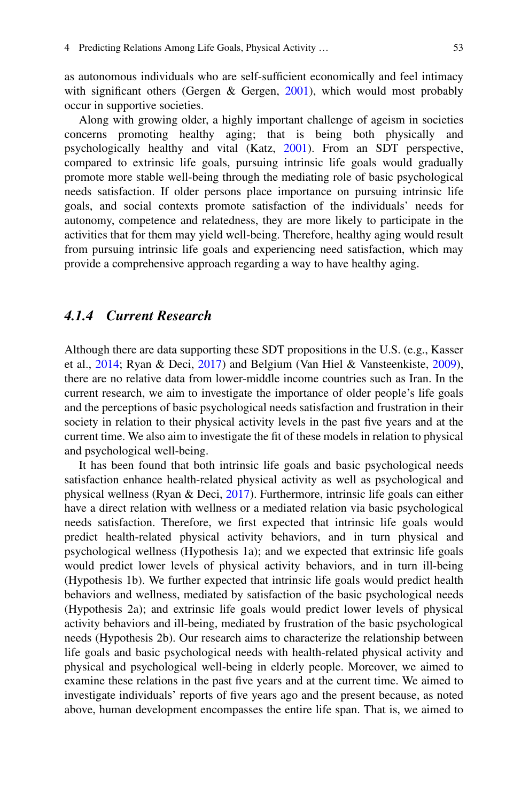as autonomous individuals who are self-sufficient economically and feel intimacy with significant others (Gergen  $\&$  Gergen, [2001\)](#page-22-14), which would most probably occur in supportive societies.

Along with growing older, a highly important challenge of ageism in societies concerns promoting healthy aging; that is being both physically and psychologically healthy and vital (Katz, [2001\)](#page-22-15). From an SDT perspective, compared to extrinsic life goals, pursuing intrinsic life goals would gradually promote more stable well-being through the mediating role of basic psychological needs satisfaction. If older persons place importance on pursuing intrinsic life goals, and social contexts promote satisfaction of the individuals' needs for autonomy, competence and relatedness, they are more likely to participate in the activities that for them may yield well-being. Therefore, healthy aging would result from pursuing intrinsic life goals and experiencing need satisfaction, which may provide a comprehensive approach regarding a way to have healthy aging.

# *4.1.4 Current Research*

Although there are data supporting these SDT propositions in the U.S. (e.g., Kasser et al., [2014;](#page-22-11) Ryan & Deci, [2017\)](#page-23-0) and Belgium (Van Hiel & Vansteenkiste, [2009\)](#page-24-8), there are no relative data from lower-middle income countries such as Iran. In the current research, we aim to investigate the importance of older people's life goals and the perceptions of basic psychological needs satisfaction and frustration in their society in relation to their physical activity levels in the past five years and at the current time. We also aim to investigate the fit of these models in relation to physical and psychological well-being.

It has been found that both intrinsic life goals and basic psychological needs satisfaction enhance health-related physical activity as well as psychological and physical wellness (Ryan & Deci, [2017\)](#page-23-0). Furthermore, intrinsic life goals can either have a direct relation with wellness or a mediated relation via basic psychological needs satisfaction. Therefore, we first expected that intrinsic life goals would predict health-related physical activity behaviors, and in turn physical and psychological wellness (Hypothesis 1a); and we expected that extrinsic life goals would predict lower levels of physical activity behaviors, and in turn ill-being (Hypothesis 1b). We further expected that intrinsic life goals would predict health behaviors and wellness, mediated by satisfaction of the basic psychological needs (Hypothesis 2a); and extrinsic life goals would predict lower levels of physical activity behaviors and ill-being, mediated by frustration of the basic psychological needs (Hypothesis 2b). Our research aims to characterize the relationship between life goals and basic psychological needs with health-related physical activity and physical and psychological well-being in elderly people. Moreover, we aimed to examine these relations in the past five years and at the current time. We aimed to investigate individuals' reports of five years ago and the present because, as noted above, human development encompasses the entire life span. That is, we aimed to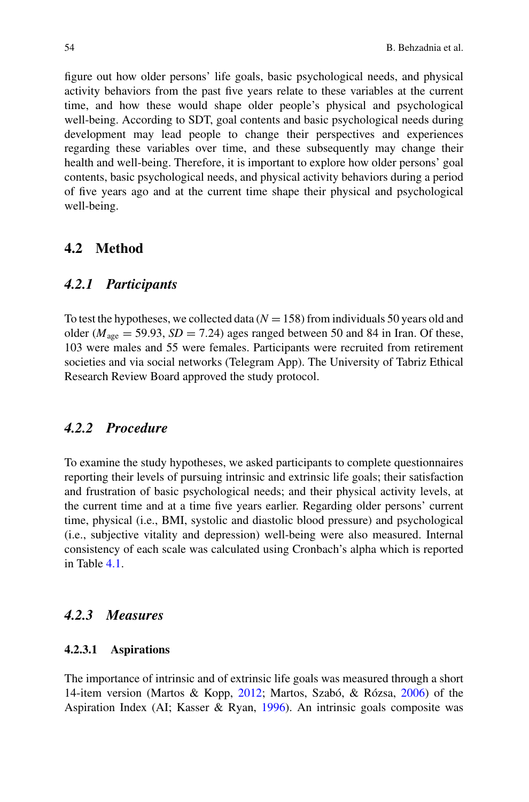figure out how older persons' life goals, basic psychological needs, and physical activity behaviors from the past five years relate to these variables at the current time, and how these would shape older people's physical and psychological well-being. According to SDT, goal contents and basic psychological needs during development may lead people to change their perspectives and experiences regarding these variables over time, and these subsequently may change their health and well-being. Therefore, it is important to explore how older persons' goal contents, basic psychological needs, and physical activity behaviors during a period of five years ago and at the current time shape their physical and psychological well-being.

# **4.2 Method**

## *4.2.1 Participants*

To test the hypotheses, we collected data  $(N = 158)$  from individuals 50 years old and older ( $M_{\text{age}} = 59.93$ ,  $SD = 7.24$ ) ages ranged between 50 and 84 in Iran. Of these, 103 were males and 55 were females. Participants were recruited from retirement societies and via social networks (Telegram App). The University of Tabriz Ethical Research Review Board approved the study protocol.

# *4.2.2 Procedure*

To examine the study hypotheses, we asked participants to complete questionnaires reporting their levels of pursuing intrinsic and extrinsic life goals; their satisfaction and frustration of basic psychological needs; and their physical activity levels, at the current time and at a time five years earlier. Regarding older persons' current time, physical (i.e., BMI, systolic and diastolic blood pressure) and psychological (i.e., subjective vitality and depression) well-being were also measured. Internal consistency of each scale was calculated using Cronbach's alpha which is reported in Table [4.1.](#page-10-0)

## *4.2.3 Measures*

#### **4.2.3.1 Aspirations**

The importance of intrinsic and of extrinsic life goals was measured through a short 14-item version (Martos & Kopp, [2012;](#page-22-16) Martos, Szabó, & Rózsa, [2006\)](#page-22-17) of the Aspiration Index (AI; Kasser & Ryan, [1996\)](#page-22-8). An intrinsic goals composite was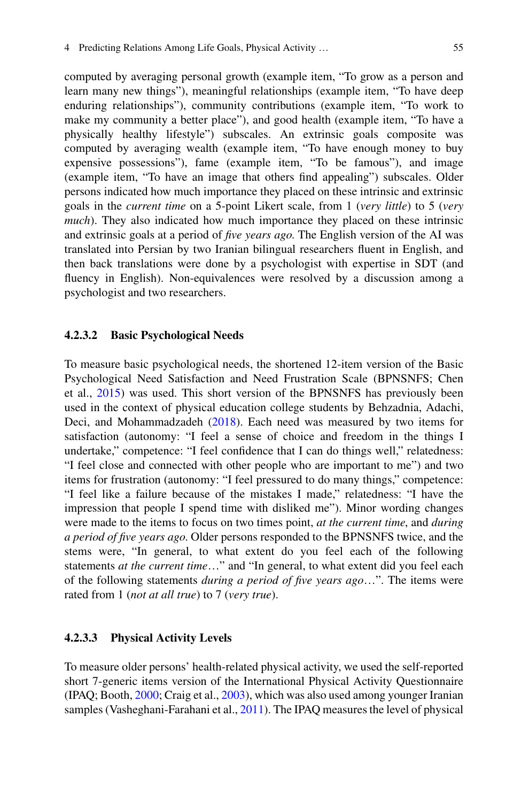computed by averaging personal growth (example item, "To grow as a person and learn many new things"), meaningful relationships (example item, "To have deep enduring relationships"), community contributions (example item, "To work to make my community a better place"), and good health (example item, "To have a physically healthy lifestyle") subscales. An extrinsic goals composite was computed by averaging wealth (example item, "To have enough money to buy expensive possessions"), fame (example item, "To be famous"), and image (example item, "To have an image that others find appealing") subscales. Older persons indicated how much importance they placed on these intrinsic and extrinsic goals in the *current time* on a 5-point Likert scale, from 1 (*very little*) to 5 (*very much*). They also indicated how much importance they placed on these intrinsic and extrinsic goals at a period of *five years ago*. The English version of the AI was translated into Persian by two Iranian bilingual researchers fluent in English, and then back translations were done by a psychologist with expertise in SDT (and fluency in English). Non-equivalences were resolved by a discussion among a psychologist and two researchers.

#### **4.2.3.2 Basic Psychological Needs**

To measure basic psychological needs, the shortened 12-item version of the Basic Psychological Need Satisfaction and Need Frustration Scale (BPNSNFS; Chen et al., [2015\)](#page-21-14) was used. This short version of the BPNSNFS has previously been used in the context of physical education college students by Behzadnia, Adachi, Deci, and Mohammadzadeh [\(2018\)](#page-21-12). Each need was measured by two items for satisfaction (autonomy: "I feel a sense of choice and freedom in the things I undertake," competence: "I feel confidence that I can do things well," relatedness: "I feel close and connected with other people who are important to me") and two items for frustration (autonomy: "I feel pressured to do many things," competence: "I feel like a failure because of the mistakes I made," relatedness: "I have the impression that people I spend time with disliked me"). Minor wording changes were made to the items to focus on two times point, *at the current time*, and *during a period of five years ago*. Older persons responded to the BPNSNFS twice, and the stems were, "In general, to what extent do you feel each of the following statements *at the current time*…" and "In general, to what extent did you feel each of the following statements *during a period of five years ago*…". The items were rated from 1 (*not at all true*) to 7 (*very true*).

#### **4.2.3.3 Physical Activity Levels**

To measure older persons' health-related physical activity, we used the self-reported short 7-generic items version of the International Physical Activity Questionnaire (IPAQ; Booth, [2000;](#page-21-15) Craig et al., [2003\)](#page-21-16), which was also used among younger Iranian samples (Vasheghani-Farahani et al., [2011\)](#page-24-10). The IPAQ measures the level of physical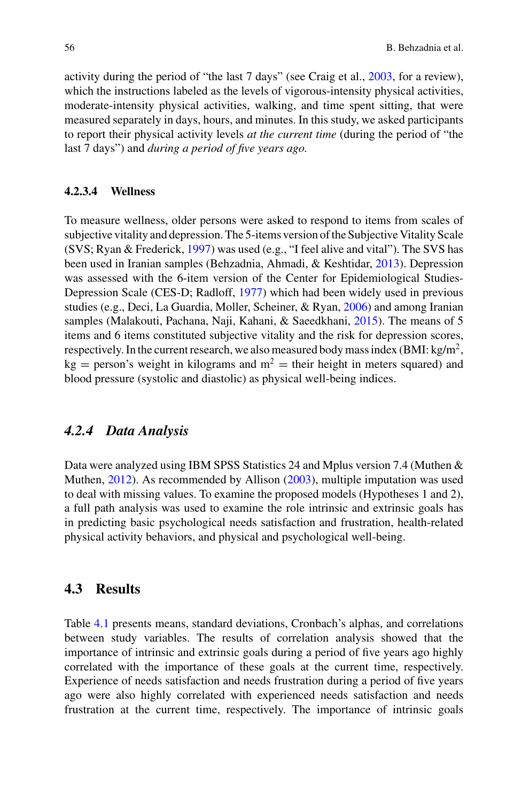activity during the period of "the last 7 days" (see Craig et al., [2003,](#page-21-16) for a review), which the instructions labeled as the levels of vigorous-intensity physical activities, moderate-intensity physical activities, walking, and time spent sitting, that were measured separately in days, hours, and minutes. In this study, we asked participants to report their physical activity levels *at the current time* (during the period of "the last 7 days") and *during a period of five years ago*.

#### **4.2.3.4 Wellness**

To measure wellness, older persons were asked to respond to items from scales of subjective vitality and depression. The 5-items version of the Subjective Vitality Scale (SVS; Ryan & Frederick, [1997\)](#page-23-12) was used (e.g., "I feel alive and vital"). The SVS has been used in Iranian samples (Behzadnia, Ahmadi, & Keshtidar, [2013\)](#page-21-17). Depression was assessed with the 6-item version of the Center for Epidemiological Studies-Depression Scale (CES-D; Radloff, [1977\)](#page-23-13) which had been widely used in previous studies (e.g., Deci, La Guardia, Moller, Scheiner, & Ryan, [2006\)](#page-21-18) and among Iranian samples (Malakouti, Pachana, Naji, Kahani, & Saeedkhani, [2015\)](#page-22-18). The means of 5 items and 6 items constituted subjective vitality and the risk for depression scores, respectively. In the current research, we also measured body mass index (BMI:  $kg/m<sup>2</sup>$ ,  $kg =$  person's weight in kilograms and  $m<sup>2</sup> =$  their height in meters squared) and blood pressure (systolic and diastolic) as physical well-being indices.

## *4.2.4 Data Analysis*

Data were analyzed using IBM SPSS Statistics 24 and Mplus version 7.4 (Muthen & Muthen, [2012\)](#page-22-19). As recommended by Allison [\(2003\)](#page-21-19), multiple imputation was used to deal with missing values. To examine the proposed models (Hypotheses 1 and 2), a full path analysis was used to examine the role intrinsic and extrinsic goals has in predicting basic psychological needs satisfaction and frustration, health-related physical activity behaviors, and physical and psychological well-being.

# **4.3 Results**

Table [4.1](#page-10-0) presents means, standard deviations, Cronbach's alphas, and correlations between study variables. The results of correlation analysis showed that the importance of intrinsic and extrinsic goals during a period of five years ago highly correlated with the importance of these goals at the current time, respectively. Experience of needs satisfaction and needs frustration during a period of five years ago were also highly correlated with experienced needs satisfaction and needs frustration at the current time, respectively. The importance of intrinsic goals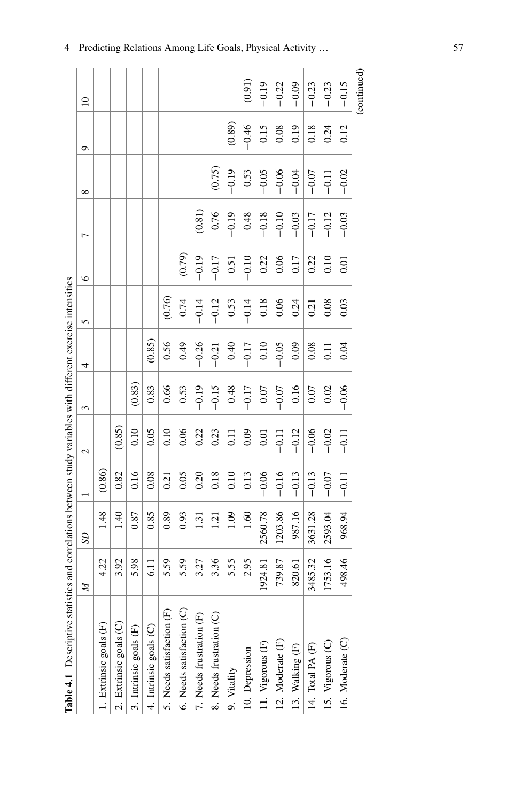<span id="page-10-0"></span>

| Table 4.1 Descriptive statistics and correlations between study variables with different exercise intensities |                   |                |         |                  |         |         |         |         |         |          |          |             |
|---------------------------------------------------------------------------------------------------------------|-------------------|----------------|---------|------------------|---------|---------|---------|---------|---------|----------|----------|-------------|
|                                                                                                               | Z                 | S <sub>D</sub> |         | $\mathcal{L}$    | 3       | 4       | 5       | ७       | ┍       | $\infty$ | $\sigma$ | $\supseteq$ |
| 1. Extrinsic goals (F)                                                                                        | 4.22              | 1.48           | (0.86)  |                  |         |         |         |         |         |          |          |             |
| 2. Extrinsic goals (C)                                                                                        | 3.92              | $\frac{40}{1}$ | 0.82    | (0.85)           |         |         |         |         |         |          |          |             |
| 3. Intrinsic goals (F)                                                                                        | 5.98              | 0.87           | 0.16    | 0.10             | (0.83)  |         |         |         |         |          |          |             |
| 4. Intrinsic goals (C)                                                                                        | $\overline{6.11}$ | 0.85           | 0.08    | 0.05             | 0.83    | (0.85)  |         |         |         |          |          |             |
| 5. Needs satisfaction (F)                                                                                     | 5.59              | 0.89           | 0.21    | 0.10             | 0.66    | 0.56    | (0.76)  |         |         |          |          |             |
| 6. Needs satisfaction (C)                                                                                     | 5.59              | 0.93           | 0.05    | 0.06             | 0.53    | 0.49    | 0.74    | (0.79)  |         |          |          |             |
| 7. Needs frustration (F)                                                                                      | 3.27              | 1.31           | 0.20    | 0.22             | $-0.19$ | $-0.26$ | $-0.14$ | $-0.19$ | (0.81)  |          |          |             |
| 8. Needs frustration (C)                                                                                      | 3.36              | 1.21           | 0.18    | 0.23             | $-0.15$ | $-0.21$ | $-0.12$ | $-0.17$ | 0.76    | (0.75)   |          |             |
| 9. Vitality                                                                                                   | 5.55              | 1.09           | 0.10    | $\overline{0}$ . | 0.48    | 0.40    | 0.53    | 0.51    | $-0.19$ | $-0.19$  | (0.89)   |             |
| 10. Depression                                                                                                | 2.95              | 1.60           | 0.13    | 0.09             | $-0.17$ | $-0.17$ | $-0.14$ | $-0.10$ | 0.48    | 0.53     | $-0.46$  | (0.91)      |
| 11. Vigorous (F)                                                                                              | 1924.81           | 2560.78        | $-0.06$ | $\overline{0}$ . | 0.07    | 0.10    | 0.18    | 0.22    | $-0.18$ | $-0.05$  | 0.15     | $-0.19$     |
| 12. Moderate (F)                                                                                              | 739.87            | 1203.86        | $-0.16$ | $-0.11$          | $-0.07$ | $-0.05$ | 0.06    | 0.06    | $-0.10$ | $-0.06$  | 0.08     | $-0.22$     |
| 13. Walking (F)                                                                                               | 820.61            | 987.16         | $-0.13$ | $-0.12$          | 0.16    | 0.09    | 0.24    | 0.17    | $-0.03$ | $-0.04$  | 0.19     | $-0.09$     |
| 14. Total PA (F)                                                                                              | 3485.32           | 3631.28        | $-0.13$ | $-0.06$          | 0.07    | 0.08    | 0.21    | 0.22    | $-0.17$ | $-0.07$  | 0.18     | $-0.23$     |
| 15. Vigorous (C)                                                                                              | 1753.16           | 2593.04        | $-0.07$ | $-0.02$          | 0.02    | $\Xi$   | 0.08    | 0.10    | $-0.12$ | $-0.11$  | 0.24     | $-0.23$     |
| 16. Moderate (C)                                                                                              | 498.46            | 968.94         | $-0.11$ | $-0.11$          | $-0.06$ | 0.04    | 0.03    | 0.01    | $-0.03$ | $-0.02$  | 0.12     | $-0.15$     |
|                                                                                                               |                   |                |         |                  |         |         |         |         |         |          |          | (continued) |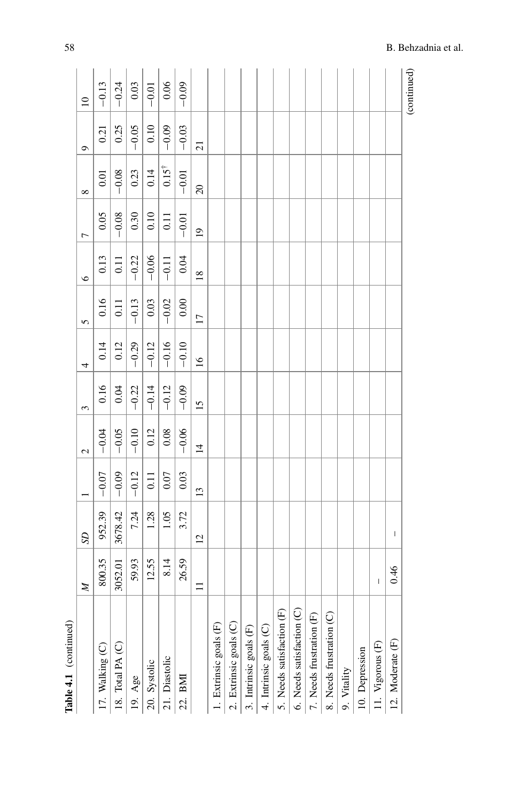| Table 4.1 (continued)     |         |                |                 |                   |         |                 |                |                 |                 |                  |                |             |
|---------------------------|---------|----------------|-----------------|-------------------|---------|-----------------|----------------|-----------------|-----------------|------------------|----------------|-------------|
|                           | N       | S <sub>D</sub> |                 | $\mathbf{\Omega}$ | 3       | 4               | $\mathbf{v}$   | $\circ$         | $\overline{ }$  | $\infty$         | $\circ$        | $\supseteq$ |
| 17. Walking (C)           | 800.35  | 952.39         | $-0.07$         | $-0.04$           | 0.16    | 0.14            | 0.16           | 0.13            | 0.05            | 0.01             | 0.21           | $-0.13$     |
| 18. Total PA (C)          | 3052.01 | 3678.42        | $-0.09$         | $-0.05$           | 0.04    | 0.12            | 0.11           | 0.11            | $-0.08$         | $-0.08$          | 0.25           | $-0.24$     |
| 19. Age                   | 59.93   | 7.24           | $-0.12$         | $-0.10$           | $-0.22$ | $-0.29$         | $-0.13$        | $-0.22$         | 0.30            | 0.23             | $-0.05$        | $0.03\,$    |
| 20. Systolic              | 12.55   | 1.28           | $0.11\,$        | 0.12              | $-0.14$ | $-0.12$         | $0.03\,$       | $-0.06$         | 0.10            | 0.14             | $0.10\,$       | $-0.01$     |
| 21. Diastolic             | 8.14    | 1.05           | $0.07\,$        | $0.08\,$          | $-0.12$ | $-0.16$         | $-0.02$        | $-0.11$         | 0.11            | $0.15^{\dagger}$ | $-0.09$        | 0.06        |
| 22. BMI                   | 26.59   | 3.72           | 0.03            | $-0.06$           | $-0.09$ | $-0.10$         | 0.00           | 0.04            | $-0.01$         | $-0.01$          | $-0.03$        | $-0.09$     |
|                           |         | $\overline{c}$ | $\overline{13}$ | $\overline{1}$    | 15      | $\overline{16}$ | $\overline{1}$ | $\overline{18}$ | $\overline{19}$ | $\overline{c}$   | $\overline{z}$ |             |
| 1. Extrinsic goals (F)    |         |                |                 |                   |         |                 |                |                 |                 |                  |                |             |
| 2. Extrinsic goals (C)    |         |                |                 |                   |         |                 |                |                 |                 |                  |                |             |
| 3. Intrinsic goals (F)    |         |                |                 |                   |         |                 |                |                 |                 |                  |                |             |
| 4. Intrinsic goals (C)    |         |                |                 |                   |         |                 |                |                 |                 |                  |                |             |
| 5. Needs satisfaction (F) |         |                |                 |                   |         |                 |                |                 |                 |                  |                |             |
| 6. Needs satisfaction (C) |         |                |                 |                   |         |                 |                |                 |                 |                  |                |             |
| 7. Needs frustration (F)  |         |                |                 |                   |         |                 |                |                 |                 |                  |                |             |
| 8. Needs frustration (C)  |         |                |                 |                   |         |                 |                |                 |                 |                  |                |             |
| 9. Vitality               |         |                |                 |                   |         |                 |                |                 |                 |                  |                |             |
| 10. Depression            |         |                |                 |                   |         |                 |                |                 |                 |                  |                |             |
| 11. Vigorous (F)          | I       |                |                 |                   |         |                 |                |                 |                 |                  |                |             |
| 12. Moderate (F)          | 0.46    | I              |                 |                   |         |                 |                |                 |                 |                  |                |             |
|                           |         |                |                 |                   |         |                 |                |                 |                 |                  |                | (continued) |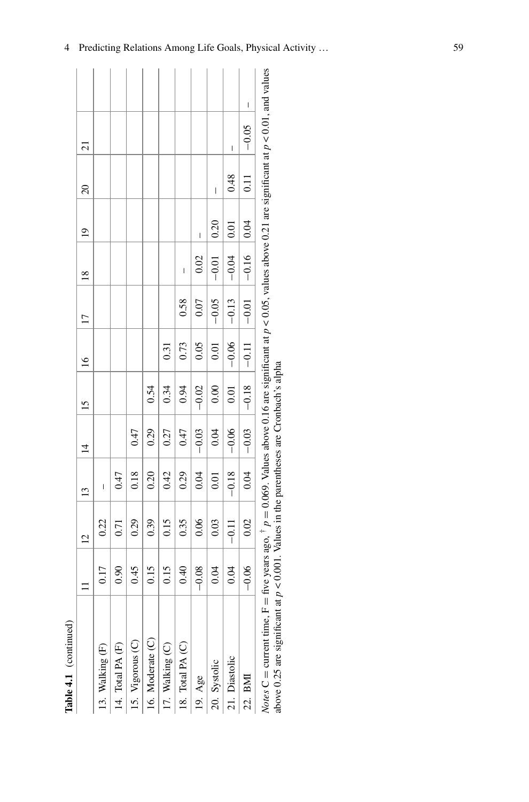| Table 4.1 (continued)                      |                                                                                                                                                                      |                |         |                |         |                |         |             |      |          |                |   |
|--------------------------------------------|----------------------------------------------------------------------------------------------------------------------------------------------------------------------|----------------|---------|----------------|---------|----------------|---------|-------------|------|----------|----------------|---|
|                                            |                                                                                                                                                                      | $\overline{c}$ | 13      | $\overline{4}$ | 51      | $\overline{6}$ | Ξ       | $^{\infty}$ | ⊵    | $\Omega$ | $\overline{c}$ |   |
| 13. Walking (F)                            | 0.17                                                                                                                                                                 | 0.22           | I       |                |         |                |         |             |      |          |                |   |
| 14. Total PA (F)                           | 0.90                                                                                                                                                                 | 0.71           | 0.47    |                |         |                |         |             |      |          |                |   |
| 15. Vigorous (C)                           | 0.45                                                                                                                                                                 | 0.29           | 0.18    | 0.47           |         |                |         |             |      |          |                |   |
| 16. Moderate (C)                           | 0.15                                                                                                                                                                 | 0.39           | 0.20    | 0.29           | 0.54    |                |         |             |      |          |                |   |
| 17. Walking $(C)$                          | $\frac{15}{15}$                                                                                                                                                      | 0.15           | 0.42    | 0.27           | 0.34    | $\overline{5}$ |         |             |      |          |                |   |
| 18. Total PA $(C)$                         | 0.40                                                                                                                                                                 | 0.35           | 0.29    | 0.47           | 0.94    | 0.73           | 0.58    | I           |      |          |                |   |
| 19. $Age$                                  | $-0.08$                                                                                                                                                              | 0.06           | 0.04    | $-0.03$        | $-0.02$ | 0.05           | 0.07    | 0.02        | I    |          |                |   |
| 20. Systolic                               | 0.04                                                                                                                                                                 | 0.03           | 0.01    | 0.04           | 0.00    | 0.01           | $-0.05$ | $-0.01$     | 0.20 | I        |                |   |
| 21. Diastolic                              | 0.04                                                                                                                                                                 | $-0.11$        | $-0.18$ | $-0.06$        | 0.01    | $-0.06$        | $-0.13$ | $-0.04$     | 0.01 | 0.48     | I              |   |
| 22. BMI                                    | $-0.06$                                                                                                                                                              | 0.02           | 0.04    | $-0.03$        | $-0.18$ | $-0.11$        | $-0.01$ | $-0.16$     | 0.04 | $\Xi$    | $-0.05$        | I |
| $M_{\alpha\beta\alpha}$ $C =$ ourrant time | $F = F_{\text{two nonzero and}} + \frac{1}{2}n = 0.060$ Values above 0.16 are similar at $n \times 0.05$ values above 0.21 are similar at $n \times 0.01$ and values |                |         |                |         |                |         |             |      |          |                |   |

*Notes* C = current time, F = $f$  five years ago,  $\dagger$  *p* = $= 0.069$ . Values above 0.16 are significant at  $p < 0.05$ , values above  $0.21$  are significant at  $p < 0.01$ , and values above 0.25 are significant at *p* < 0.001. Values in the parentheses are Cronbach's alpha

# 4 Predicting Relations Among Life Goals, Physical Activity … 59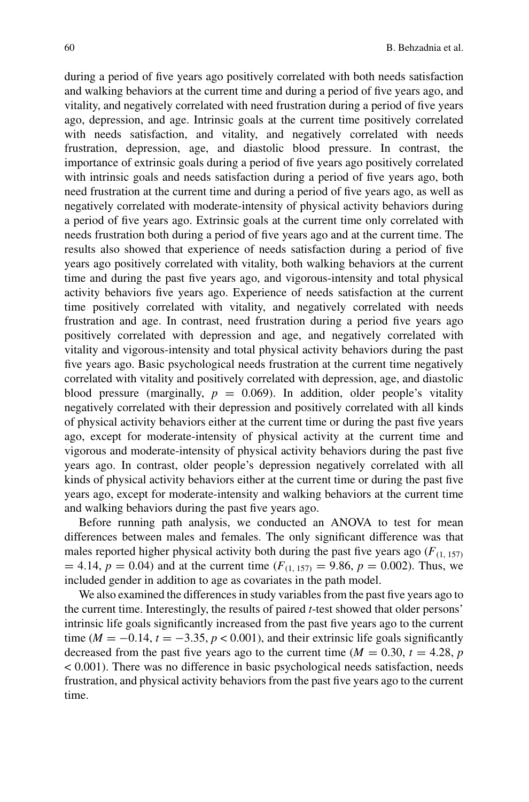during a period of five years ago positively correlated with both needs satisfaction and walking behaviors at the current time and during a period of five years ago, and vitality, and negatively correlated with need frustration during a period of five years ago, depression, and age. Intrinsic goals at the current time positively correlated with needs satisfaction, and vitality, and negatively correlated with needs frustration, depression, age, and diastolic blood pressure. In contrast, the importance of extrinsic goals during a period of five years ago positively correlated with intrinsic goals and needs satisfaction during a period of five years ago, both need frustration at the current time and during a period of five years ago, as well as negatively correlated with moderate-intensity of physical activity behaviors during a period of five years ago. Extrinsic goals at the current time only correlated with needs frustration both during a period of five years ago and at the current time. The results also showed that experience of needs satisfaction during a period of five years ago positively correlated with vitality, both walking behaviors at the current time and during the past five years ago, and vigorous-intensity and total physical activity behaviors five years ago. Experience of needs satisfaction at the current time positively correlated with vitality, and negatively correlated with needs frustration and age. In contrast, need frustration during a period five years ago positively correlated with depression and age, and negatively correlated with vitality and vigorous-intensity and total physical activity behaviors during the past five years ago. Basic psychological needs frustration at the current time negatively correlated with vitality and positively correlated with depression, age, and diastolic blood pressure (marginally,  $p = 0.069$ ). In addition, older people's vitality negatively correlated with their depression and positively correlated with all kinds of physical activity behaviors either at the current time or during the past five years ago, except for moderate-intensity of physical activity at the current time and vigorous and moderate-intensity of physical activity behaviors during the past five years ago. In contrast, older people's depression negatively correlated with all kinds of physical activity behaviors either at the current time or during the past five years ago, except for moderate-intensity and walking behaviors at the current time and walking behaviors during the past five years ago.

Before running path analysis, we conducted an ANOVA to test for mean differences between males and females. The only significant difference was that males reported higher physical activity both during the past five years ago  $(F_{(1, 157)}$  $= 4.14, p = 0.04$ ) and at the current time ( $F_{(1, 157)} = 9.86, p = 0.002$ ). Thus, we included gender in addition to age as covariates in the path model.

We also examined the differences in study variables from the past five years ago to the current time. Interestingly, the results of paired *t*-test showed that older persons' intrinsic life goals significantly increased from the past five years ago to the current time ( $M = -0.14$ ,  $t = -3.35$ ,  $p < 0.001$ ), and their extrinsic life goals significantly decreased from the past five years ago to the current time  $(M = 0.30, t = 4.28, p$ < 0.001). There was no difference in basic psychological needs satisfaction, needs frustration, and physical activity behaviors from the past five years ago to the current time.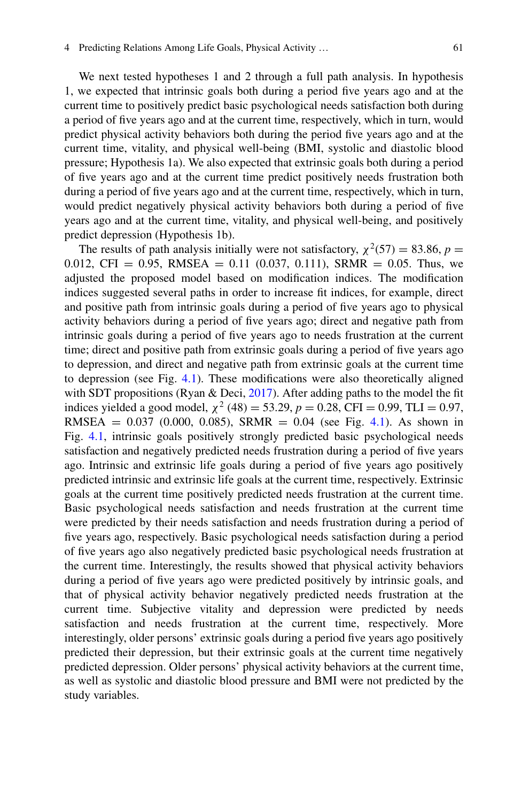We next tested hypotheses 1 and 2 through a full path analysis. In hypothesis 1, we expected that intrinsic goals both during a period five years ago and at the current time to positively predict basic psychological needs satisfaction both during a period of five years ago and at the current time, respectively, which in turn, would predict physical activity behaviors both during the period five years ago and at the current time, vitality, and physical well-being (BMI, systolic and diastolic blood pressure; Hypothesis 1a). We also expected that extrinsic goals both during a period of five years ago and at the current time predict positively needs frustration both during a period of five years ago and at the current time, respectively, which in turn, would predict negatively physical activity behaviors both during a period of five years ago and at the current time, vitality, and physical well-being, and positively predict depression (Hypothesis 1b).

The results of path analysis initially were not satisfactory,  $\chi^2(57) = 83.86$ ,  $p =$ 0.012, CFI = 0.95, RMSEA = 0.11 (0.037, 0.111), SRMR = 0.05. Thus, we adjusted the proposed model based on modification indices. The modification indices suggested several paths in order to increase fit indices, for example, direct and positive path from intrinsic goals during a period of five years ago to physical activity behaviors during a period of five years ago; direct and negative path from intrinsic goals during a period of five years ago to needs frustration at the current time; direct and positive path from extrinsic goals during a period of five years ago to depression, and direct and negative path from extrinsic goals at the current time to depression (see Fig. [4.1\)](#page-15-0). These modifications were also theoretically aligned with SDT propositions (Ryan & Deci, [2017\)](#page-23-0). After adding paths to the model the fit indices yielded a good model,  $\chi^2$  (48) = 53.29, *p* = 0.28, CFI = 0.99, TLI = 0.97, RMSEA =  $0.037$  (0.000, 0.085), SRMR = 0.04 (see Fig. [4.1\)](#page-15-0). As shown in Fig. [4.1,](#page-15-0) intrinsic goals positively strongly predicted basic psychological needs satisfaction and negatively predicted needs frustration during a period of five years ago. Intrinsic and extrinsic life goals during a period of five years ago positively predicted intrinsic and extrinsic life goals at the current time, respectively. Extrinsic goals at the current time positively predicted needs frustration at the current time. Basic psychological needs satisfaction and needs frustration at the current time were predicted by their needs satisfaction and needs frustration during a period of five years ago, respectively. Basic psychological needs satisfaction during a period of five years ago also negatively predicted basic psychological needs frustration at the current time. Interestingly, the results showed that physical activity behaviors during a period of five years ago were predicted positively by intrinsic goals, and that of physical activity behavior negatively predicted needs frustration at the current time. Subjective vitality and depression were predicted by needs satisfaction and needs frustration at the current time, respectively. More interestingly, older persons' extrinsic goals during a period five years ago positively predicted their depression, but their extrinsic goals at the current time negatively predicted depression. Older persons' physical activity behaviors at the current time, as well as systolic and diastolic blood pressure and BMI were not predicted by the study variables.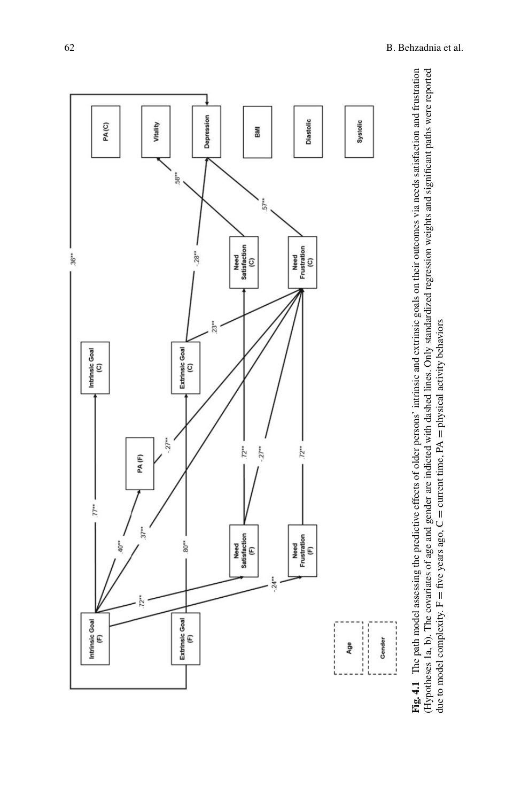<span id="page-15-0"></span>

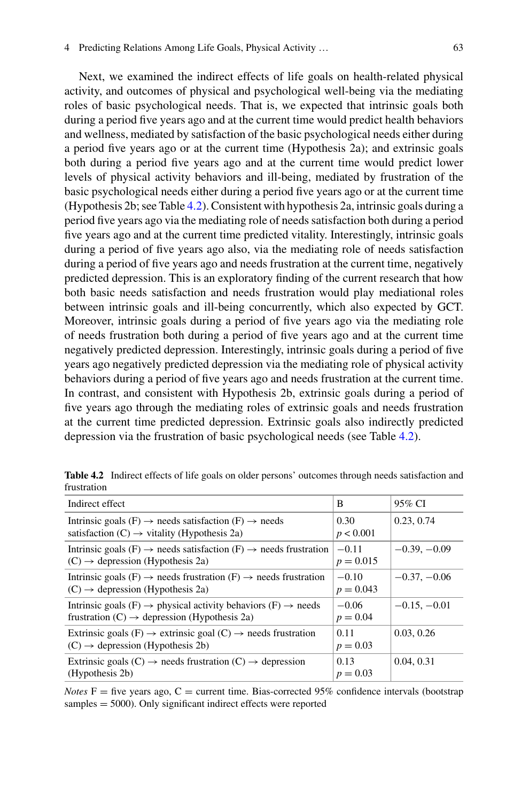Next, we examined the indirect effects of life goals on health-related physical activity, and outcomes of physical and psychological well-being via the mediating roles of basic psychological needs. That is, we expected that intrinsic goals both during a period five years ago and at the current time would predict health behaviors and wellness, mediated by satisfaction of the basic psychological needs either during a period five years ago or at the current time (Hypothesis 2a); and extrinsic goals both during a period five years ago and at the current time would predict lower levels of physical activity behaviors and ill-being, mediated by frustration of the basic psychological needs either during a period five years ago or at the current time (Hypothesis 2b; see Table [4.2\)](#page-16-0). Consistent with hypothesis 2a, intrinsic goals during a period five years ago via the mediating role of needs satisfaction both during a period five years ago and at the current time predicted vitality. Interestingly, intrinsic goals during a period of five years ago also, via the mediating role of needs satisfaction during a period of five years ago and needs frustration at the current time, negatively predicted depression. This is an exploratory finding of the current research that how both basic needs satisfaction and needs frustration would play mediational roles between intrinsic goals and ill-being concurrently, which also expected by GCT. Moreover, intrinsic goals during a period of five years ago via the mediating role of needs frustration both during a period of five years ago and at the current time negatively predicted depression. Interestingly, intrinsic goals during a period of five years ago negatively predicted depression via the mediating role of physical activity behaviors during a period of five years ago and needs frustration at the current time. In contrast, and consistent with Hypothesis 2b, extrinsic goals during a period of five years ago through the mediating roles of extrinsic goals and needs frustration at the current time predicted depression. Extrinsic goals also indirectly predicted depression via the frustration of basic psychological needs (see Table [4.2\)](#page-16-0).

| Indirect effect                                                                                                                                   | B                      | 95% CI         |
|---------------------------------------------------------------------------------------------------------------------------------------------------|------------------------|----------------|
| Intrinsic goals (F) $\rightarrow$ needs satisfaction (F) $\rightarrow$ needs<br>satisfaction $(C) \rightarrow$ vitality (Hypothesis 2a)           | 0.30<br>p < 0.001      | 0.23, 0.74     |
| Intrinsic goals (F) $\rightarrow$ needs satisfaction (F) $\rightarrow$ needs frustration<br>$(C) \rightarrow$ depression (Hypothesis 2a)          | $-0.11$<br>$p = 0.015$ | $-0.39, -0.09$ |
| Intrinsic goals (F) $\rightarrow$ needs frustration (F) $\rightarrow$ needs frustration<br>$(C) \rightarrow$ depression (Hypothesis 2a)           | $-0.10$<br>$p = 0.043$ | $-0.37, -0.06$ |
| Intrinsic goals (F) $\rightarrow$ physical activity behaviors (F) $\rightarrow$ needs<br>frustration (C) $\rightarrow$ depression (Hypothesis 2a) | $-0.06$<br>$p = 0.04$  | $-0.15, -0.01$ |
| Extrinsic goals (F) $\rightarrow$ extrinsic goal (C) $\rightarrow$ needs frustration<br>$(C) \rightarrow$ depression (Hypothesis 2b)              | 0.11<br>$p = 0.03$     | 0.03, 0.26     |
| Extrinsic goals (C) $\rightarrow$ needs frustration (C) $\rightarrow$ depression<br>(Hypothesis 2b)                                               | 0.13<br>$p = 0.03$     | 0.04, 0.31     |

<span id="page-16-0"></span>**Table 4.2** Indirect effects of life goals on older persons' outcomes through needs satisfaction and frustration

*Notes*  $F =$  five years ago,  $C =$  current time. Bias-corrected 95% confidence intervals (bootstrap samples = 5000). Only significant indirect effects were reported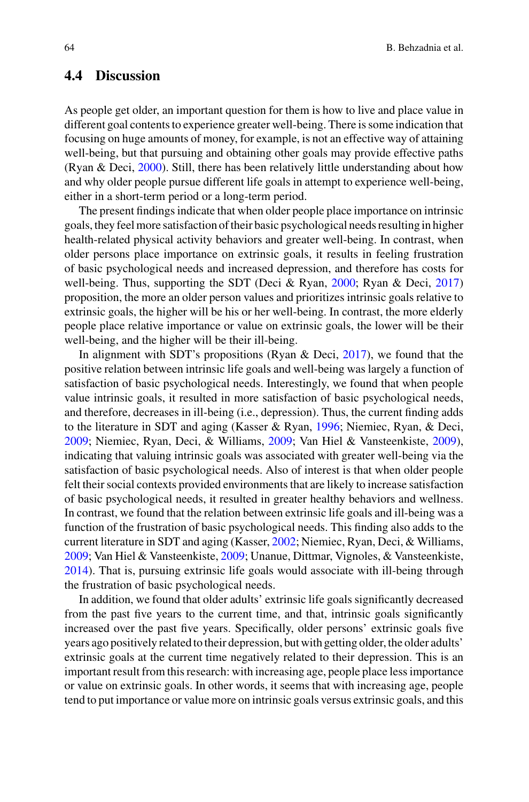# **4.4 Discussion**

As people get older, an important question for them is how to live and place value in different goal contents to experience greater well-being. There is some indication that focusing on huge amounts of money, for example, is not an effective way of attaining well-being, but that pursuing and obtaining other goals may provide effective paths (Ryan & Deci, [2000\)](#page-23-14). Still, there has been relatively little understanding about how and why older people pursue different life goals in attempt to experience well-being, either in a short-term period or a long-term period.

The present findings indicate that when older people place importance on intrinsic goals, they feel more satisfaction of their basic psychological needs resulting in higher health-related physical activity behaviors and greater well-being. In contrast, when older persons place importance on extrinsic goals, it results in feeling frustration of basic psychological needs and increased depression, and therefore has costs for well-being. Thus, supporting the SDT (Deci & Ryan, [2000;](#page-21-0) Ryan & Deci, [2017\)](#page-23-0) proposition, the more an older person values and prioritizes intrinsic goals relative to extrinsic goals, the higher will be his or her well-being. In contrast, the more elderly people place relative importance or value on extrinsic goals, the lower will be their well-being, and the higher will be their ill-being.

In alignment with SDT's propositions (Ryan & Deci,  $2017$ ), we found that the positive relation between intrinsic life goals and well-being was largely a function of satisfaction of basic psychological needs. Interestingly, we found that when people value intrinsic goals, it resulted in more satisfaction of basic psychological needs, and therefore, decreases in ill-being (i.e., depression). Thus, the current finding adds to the literature in SDT and aging (Kasser & Ryan, [1996;](#page-22-8) Niemiec, Ryan, & Deci, [2009;](#page-23-15) Niemiec, Ryan, Deci, & Williams, [2009;](#page-23-16) Van Hiel & Vansteenkiste, [2009\)](#page-24-8), indicating that valuing intrinsic goals was associated with greater well-being via the satisfaction of basic psychological needs. Also of interest is that when older people felt their social contexts provided environments that are likely to increase satisfaction of basic psychological needs, it resulted in greater healthy behaviors and wellness. In contrast, we found that the relation between extrinsic life goals and ill-being was a function of the frustration of basic psychological needs. This finding also adds to the current literature in SDT and aging (Kasser, [2002;](#page-22-9) Niemiec, Ryan, Deci, & Williams, [2009;](#page-23-16) Van Hiel & Vansteenkiste, [2009;](#page-24-8) Unanue, Dittmar, Vignoles, & Vansteenkiste, [2014\)](#page-23-17). That is, pursuing extrinsic life goals would associate with ill-being through the frustration of basic psychological needs.

In addition, we found that older adults' extrinsic life goals significantly decreased from the past five years to the current time, and that, intrinsic goals significantly increased over the past five years. Specifically, older persons' extrinsic goals five years ago positively related to their depression, but with getting older, the older adults' extrinsic goals at the current time negatively related to their depression. This is an important result from this research: with increasing age, people place less importance or value on extrinsic goals. In other words, it seems that with increasing age, people tend to put importance or value more on intrinsic goals versus extrinsic goals, and this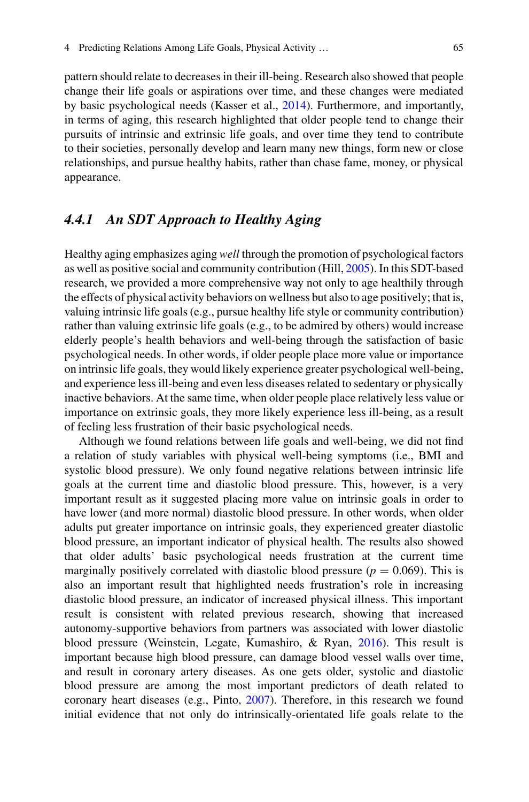pattern should relate to decreases in their ill-being. Research also showed that people change their life goals or aspirations over time, and these changes were mediated by basic psychological needs (Kasser et al., [2014\)](#page-22-11). Furthermore, and importantly, in terms of aging, this research highlighted that older people tend to change their pursuits of intrinsic and extrinsic life goals, and over time they tend to contribute to their societies, personally develop and learn many new things, form new or close relationships, and pursue healthy habits, rather than chase fame, money, or physical appearance.

# *4.4.1 An SDT Approach to Healthy Aging*

Healthy aging emphasizes aging *well* through the promotion of psychological factors as well as positive social and community contribution (Hill, [2005\)](#page-22-12). In this SDT-based research, we provided a more comprehensive way not only to age healthily through the effects of physical activity behaviors on wellness but also to age positively; that is, valuing intrinsic life goals (e.g., pursue healthy life style or community contribution) rather than valuing extrinsic life goals (e.g., to be admired by others) would increase elderly people's health behaviors and well-being through the satisfaction of basic psychological needs. In other words, if older people place more value or importance on intrinsic life goals, they would likely experience greater psychological well-being, and experience less ill-being and even less diseases related to sedentary or physically inactive behaviors. At the same time, when older people place relatively less value or importance on extrinsic goals, they more likely experience less ill-being, as a result of feeling less frustration of their basic psychological needs.

Although we found relations between life goals and well-being, we did not find a relation of study variables with physical well-being symptoms (i.e., BMI and systolic blood pressure). We only found negative relations between intrinsic life goals at the current time and diastolic blood pressure. This, however, is a very important result as it suggested placing more value on intrinsic goals in order to have lower (and more normal) diastolic blood pressure. In other words, when older adults put greater importance on intrinsic goals, they experienced greater diastolic blood pressure, an important indicator of physical health. The results also showed that older adults' basic psychological needs frustration at the current time marginally positively correlated with diastolic blood pressure  $(p = 0.069)$ . This is also an important result that highlighted needs frustration's role in increasing diastolic blood pressure, an indicator of increased physical illness. This important result is consistent with related previous research, showing that increased autonomy-supportive behaviors from partners was associated with lower diastolic blood pressure (Weinstein, Legate, Kumashiro, & Ryan, [2016\)](#page-24-11). This result is important because high blood pressure, can damage blood vessel walls over time, and result in coronary artery diseases. As one gets older, systolic and diastolic blood pressure are among the most important predictors of death related to coronary heart diseases (e.g., Pinto, [2007\)](#page-23-18). Therefore, in this research we found initial evidence that not only do intrinsically-orientated life goals relate to the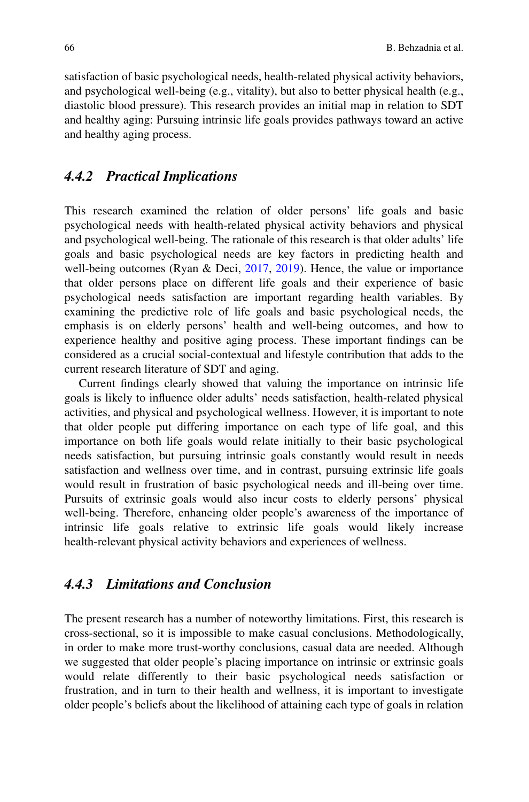satisfaction of basic psychological needs, health-related physical activity behaviors, and psychological well-being (e.g., vitality), but also to better physical health (e.g., diastolic blood pressure). This research provides an initial map in relation to SDT and healthy aging: Pursuing intrinsic life goals provides pathways toward an active and healthy aging process.

# *4.4.2 Practical Implications*

This research examined the relation of older persons' life goals and basic psychological needs with health-related physical activity behaviors and physical and psychological well-being. The rationale of this research is that older adults' life goals and basic psychological needs are key factors in predicting health and well-being outcomes (Ryan & Deci, [2017,](#page-23-0) [2019\)](#page-23-7). Hence, the value or importance that older persons place on different life goals and their experience of basic psychological needs satisfaction are important regarding health variables. By examining the predictive role of life goals and basic psychological needs, the emphasis is on elderly persons' health and well-being outcomes, and how to experience healthy and positive aging process. These important findings can be considered as a crucial social-contextual and lifestyle contribution that adds to the current research literature of SDT and aging.

Current findings clearly showed that valuing the importance on intrinsic life goals is likely to influence older adults' needs satisfaction, health-related physical activities, and physical and psychological wellness. However, it is important to note that older people put differing importance on each type of life goal, and this importance on both life goals would relate initially to their basic psychological needs satisfaction, but pursuing intrinsic goals constantly would result in needs satisfaction and wellness over time, and in contrast, pursuing extrinsic life goals would result in frustration of basic psychological needs and ill-being over time. Pursuits of extrinsic goals would also incur costs to elderly persons' physical well-being. Therefore, enhancing older people's awareness of the importance of intrinsic life goals relative to extrinsic life goals would likely increase health-relevant physical activity behaviors and experiences of wellness.

# *4.4.3 Limitations and Conclusion*

The present research has a number of noteworthy limitations. First, this research is cross-sectional, so it is impossible to make casual conclusions. Methodologically, in order to make more trust-worthy conclusions, casual data are needed. Although we suggested that older people's placing importance on intrinsic or extrinsic goals would relate differently to their basic psychological needs satisfaction or frustration, and in turn to their health and wellness, it is important to investigate older people's beliefs about the likelihood of attaining each type of goals in relation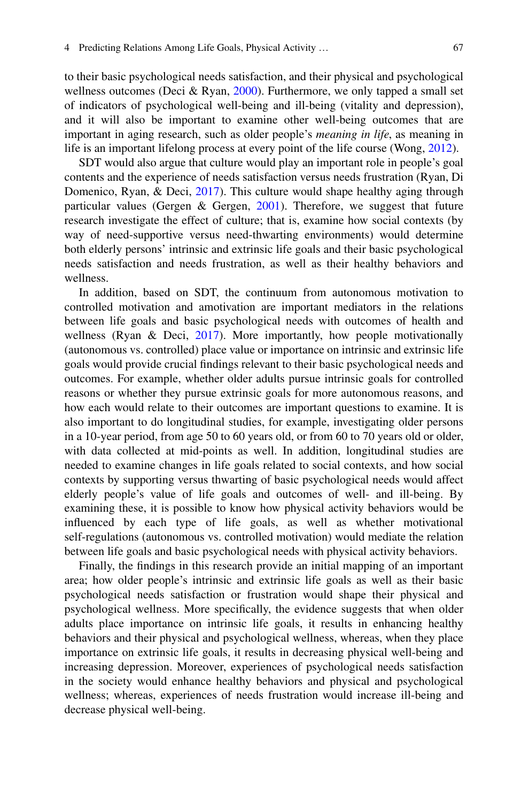to their basic psychological needs satisfaction, and their physical and psychological wellness outcomes (Deci & Ryan, [2000\)](#page-21-0). Furthermore, we only tapped a small set of indicators of psychological well-being and ill-being (vitality and depression), and it will also be important to examine other well-being outcomes that are important in aging research, such as older people's *meaning in life*, as meaning in life is an important lifelong process at every point of the life course (Wong, [2012\)](#page-24-12).

SDT would also argue that culture would play an important role in people's goal contents and the experience of needs satisfaction versus needs frustration (Ryan, Di Domenico, Ryan, & Deci, [2017\)](#page-23-19). This culture would shape healthy aging through particular values (Gergen  $\&$  Gergen, [2001\)](#page-22-14). Therefore, we suggest that future research investigate the effect of culture; that is, examine how social contexts (by way of need-supportive versus need-thwarting environments) would determine both elderly persons' intrinsic and extrinsic life goals and their basic psychological needs satisfaction and needs frustration, as well as their healthy behaviors and wellness.

In addition, based on SDT, the continuum from autonomous motivation to controlled motivation and amotivation are important mediators in the relations between life goals and basic psychological needs with outcomes of health and wellness (Ryan & Deci, [2017\)](#page-23-0). More importantly, how people motivationally (autonomous vs. controlled) place value or importance on intrinsic and extrinsic life goals would provide crucial findings relevant to their basic psychological needs and outcomes. For example, whether older adults pursue intrinsic goals for controlled reasons or whether they pursue extrinsic goals for more autonomous reasons, and how each would relate to their outcomes are important questions to examine. It is also important to do longitudinal studies, for example, investigating older persons in a 10-year period, from age 50 to 60 years old, or from 60 to 70 years old or older, with data collected at mid-points as well. In addition, longitudinal studies are needed to examine changes in life goals related to social contexts, and how social contexts by supporting versus thwarting of basic psychological needs would affect elderly people's value of life goals and outcomes of well- and ill-being. By examining these, it is possible to know how physical activity behaviors would be influenced by each type of life goals, as well as whether motivational self-regulations (autonomous vs. controlled motivation) would mediate the relation between life goals and basic psychological needs with physical activity behaviors.

Finally, the findings in this research provide an initial mapping of an important area; how older people's intrinsic and extrinsic life goals as well as their basic psychological needs satisfaction or frustration would shape their physical and psychological wellness. More specifically, the evidence suggests that when older adults place importance on intrinsic life goals, it results in enhancing healthy behaviors and their physical and psychological wellness, whereas, when they place importance on extrinsic life goals, it results in decreasing physical well-being and increasing depression. Moreover, experiences of psychological needs satisfaction in the society would enhance healthy behaviors and physical and psychological wellness; whereas, experiences of needs frustration would increase ill-being and decrease physical well-being.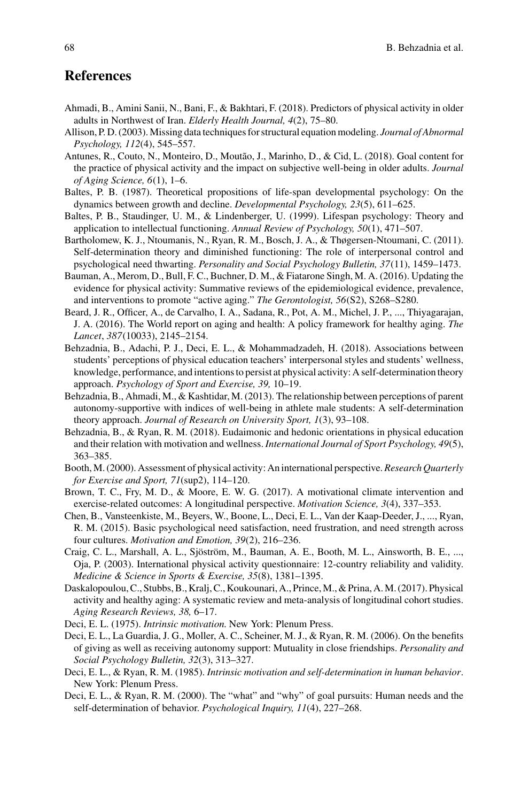# **References**

- <span id="page-21-7"></span>Ahmadi, B., Amini Sanii, N., Bani, F., & Bakhtari, F. (2018). Predictors of physical activity in older adults in Northwest of Iran. *Elderly Health Journal, 4*(2), 75–80.
- <span id="page-21-19"></span>Allison, P. D. (2003). Missing data techniques for structural equation modeling. *Journal of Abnormal Psychology, 112*(4), 545–557.
- <span id="page-21-8"></span>Antunes, R., Couto, N., Monteiro, D., Moutão, J., Marinho, D., & Cid, L. (2018). Goal content for the practice of physical activity and the impact on subjective well-being in older adults. *Journal of Aging Science, 6*(1), 1–6.
- <span id="page-21-3"></span>Baltes, P. B. (1987). Theoretical propositions of life-span developmental psychology: On the dynamics between growth and decline. *Developmental Psychology, 23*(5), 611–625.
- <span id="page-21-4"></span>Baltes, P. B., Staudinger, U. M., & Lindenberger, U. (1999). Lifespan psychology: Theory and application to intellectual functioning. *Annual Review of Psychology, 50*(1), 471–507.
- <span id="page-21-11"></span>Bartholomew, K. J., Ntoumanis, N., Ryan, R. M., Bosch, J. A., & Thøgersen-Ntoumani, C. (2011). Self-determination theory and diminished functioning: The role of interpersonal control and psychological need thwarting. *Personality and Social Psychology Bulletin, 37*(11), 1459–1473.
- <span id="page-21-2"></span>Bauman, A., Merom, D., Bull, F. C., Buchner, D. M., & Fiatarone Singh, M. A. (2016). Updating the evidence for physical activity: Summative reviews of the epidemiological evidence, prevalence, and interventions to promote "active aging." *The Gerontologist, 56*(S2), S268–S280.
- <span id="page-21-5"></span>Beard, J. R., Officer, A., de Carvalho, I. A., Sadana, R., Pot, A. M., Michel, J. P., ..., Thiyagarajan, J. A. (2016). The World report on aging and health: A policy framework for healthy aging. *The Lancet*, *387*(10033), 2145–2154.
- <span id="page-21-12"></span>Behzadnia, B., Adachi, P. J., Deci, E. L., & Mohammadzadeh, H. (2018). Associations between students' perceptions of physical education teachers' interpersonal styles and students' wellness, knowledge, performance, and intentions to persist at physical activity: A self-determination theory approach. *Psychology of Sport and Exercise, 39,* 10–19.
- <span id="page-21-17"></span>Behzadnia, B., Ahmadi, M., & Kashtidar, M. (2013). The relationship between perceptions of parent autonomy-supportive with indices of well-being in athlete male students: A self-determination theory approach. *Journal of Research on University Sport, 1*(3), 93–108.
- <span id="page-21-13"></span>Behzadnia, B., & Ryan, R. M. (2018). Eudaimonic and hedonic orientations in physical education and their relation with motivation and wellness. *International Journal of Sport Psychology, 49*(5), 363–385.
- <span id="page-21-15"></span>Booth,M. (2000). Assessment of physical activity: An international perspective.*Research Quarterly for Exercise and Sport, 71*(sup2), 114–120.
- <span id="page-21-10"></span>Brown, T. C., Fry, M. D., & Moore, E. W. G. (2017). A motivational climate intervention and exercise-related outcomes: A longitudinal perspective. *Motivation Science, 3*(4), 337–353.
- <span id="page-21-14"></span>Chen, B., Vansteenkiste, M., Beyers, W., Boone, L., Deci, E. L., Van der Kaap-Deeder, J., ..., Ryan, R. M. (2015). Basic psychological need satisfaction, need frustration, and need strength across four cultures. *Motivation and Emotion, 39*(2), 216–236.
- <span id="page-21-16"></span>Craig, C. L., Marshall, A. L., Sjöström, M., Bauman, A. E., Booth, M. L., Ainsworth, B. E., ..., Oja, P. (2003). International physical activity questionnaire: 12-country reliability and validity. *Medicine & Science in Sports & Exercise, 35*(8), 1381–1395.
- <span id="page-21-6"></span>Daskalopoulou, C., Stubbs, B., Kralj, C., Koukounari, A., Prince,M., & Prina, A.M. (2017). Physical activity and healthy aging: A systematic review and meta-analysis of longitudinal cohort studies. *Aging Research Reviews, 38,* 6–17.
- <span id="page-21-1"></span>Deci, E. L. (1975). *Intrinsic motivation*. New York: Plenum Press.
- <span id="page-21-18"></span>Deci, E. L., La Guardia, J. G., Moller, A. C., Scheiner, M. J., & Ryan, R. M. (2006). On the benefits of giving as well as receiving autonomy support: Mutuality in close friendships. *Personality and Social Psychology Bulletin, 32*(3), 313–327.
- <span id="page-21-9"></span>Deci, E. L., & Ryan, R. M. (1985). *Intrinsic motivation and self-determination in human behavior*. New York: Plenum Press.
- <span id="page-21-0"></span>Deci, E. L., & Ryan, R. M. (2000). The "what" and "why" of goal pursuits: Human needs and the self-determination of behavior. *Psychological Inquiry, 11*(4), 227–268.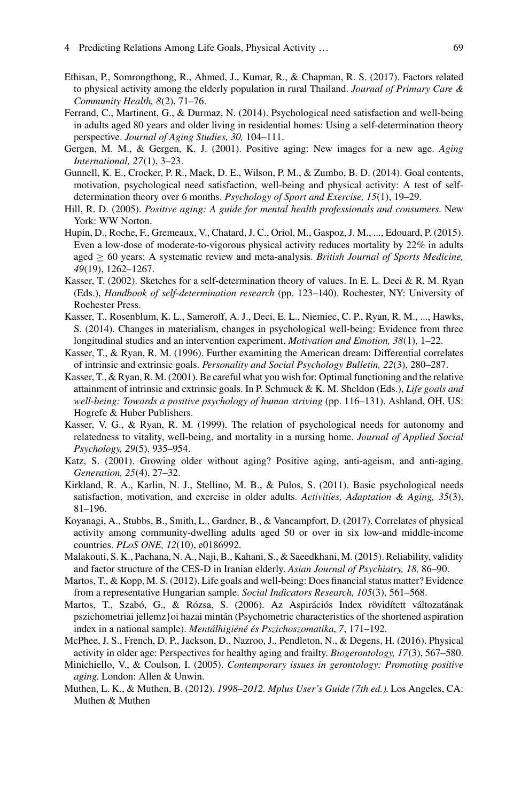- <span id="page-22-5"></span>Ethisan, P., Somrongthong, R., Ahmed, J., Kumar, R., & Chapman, R. S. (2017). Factors related to physical activity among the elderly population in rural Thailand. *Journal of Primary Care & Community Health, 8*(2), 71–76.
- <span id="page-22-1"></span>Ferrand, C., Martinent, G., & Durmaz, N. (2014). Psychological need satisfaction and well-being in adults aged 80 years and older living in residential homes: Using a self-determination theory perspective. *Journal of Aging Studies, 30,* 104–111.
- <span id="page-22-14"></span>Gergen, M. M., & Gergen, K. J. (2001). Positive aging: New images for a new age. *Aging International, 27*(1), 3–23.
- <span id="page-22-6"></span>Gunnell, K. E., Crocker, P. R., Mack, D. E., Wilson, P. M., & Zumbo, B. D. (2014). Goal contents, motivation, psychological need satisfaction, well-being and physical activity: A test of selfdetermination theory over 6 months. *Psychology of Sport and Exercise, 15*(1), 19–29.
- <span id="page-22-12"></span>Hill, R. D. (2005). *Positive aging: A guide for mental health professionals and consumers*. New York: WW Norton.
- <span id="page-22-3"></span>Hupin, D., Roche, F., Gremeaux, V., Chatard, J. C., Oriol, M., Gaspoz, J. M., ..., Edouard, P. (2015). Even a low-dose of moderate-to-vigorous physical activity reduces mortality by 22% in adults aged ≥ 60 years: A systematic review and meta-analysis. *British Journal of Sports Medicine, 49*(19), 1262–1267.
- <span id="page-22-9"></span>Kasser, T. (2002). Sketches for a self-determination theory of values. In E. L. Deci & R. M. Ryan (Eds.), *Handbook of self-determination research* (pp. 123–140). Rochester, NY: University of Rochester Press.
- <span id="page-22-11"></span>Kasser, T., Rosenblum, K. L., Sameroff, A. J., Deci, E. L., Niemiec, C. P., Ryan, R. M., ..., Hawks, S. (2014). Changes in materialism, changes in psychological well-being: Evidence from three longitudinal studies and an intervention experiment. *Motivation and Emotion, 38*(1), 1–22.
- <span id="page-22-8"></span>Kasser, T., & Ryan, R. M. (1996). Further examining the American dream: Differential correlates of intrinsic and extrinsic goals. *Personality and Social Psychology Bulletin, 22*(3), 280–287.
- <span id="page-22-10"></span>Kasser, T., & Ryan, R. M. (2001). Be careful what you wish for: Optimal functioning and the relative attainment of intrinsic and extrinsic goals. In P. Schmuck & K. M. Sheldon (Eds.), *Life goals and well-being: Towards a positive psychology of human striving* (pp. 116–131). Ashland, OH, US: Hogrefe & Huber Publishers.
- <span id="page-22-0"></span>Kasser, V. G., & Ryan, R. M. (1999). The relation of psychological needs for autonomy and relatedness to vitality, well-being, and mortality in a nursing home. *Journal of Applied Social Psychology, 29*(5), 935–954.
- <span id="page-22-15"></span>Katz, S. (2001). Growing older without aging? Positive aging, anti-ageism, and anti-aging. *Generation, 25*(4), 27–32.
- <span id="page-22-7"></span>Kirkland, R. A., Karlin, N. J., Stellino, M. B., & Pulos, S. (2011). Basic psychological needs satisfaction, motivation, and exercise in older adults. *Activities, Adaptation & Aging, 35*(3), 81–196.
- <span id="page-22-2"></span>Koyanagi, A., Stubbs, B., Smith, L., Gardner, B., & Vancampfort, D. (2017). Correlates of physical activity among community-dwelling adults aged 50 or over in six low-and middle-income countries. *PLoS ONE, 12*(10), e0186992.
- <span id="page-22-18"></span>Malakouti, S. K., Pachana, N. A., Naji, B., Kahani, S., & Saeedkhani, M. (2015). Reliability, validity and factor structure of the CES-D in Iranian elderly. *Asian Journal of Psychiatry, 18,* 86–90.
- <span id="page-22-16"></span>Martos, T., & Kopp, M. S. (2012). Life goals and well-being: Does financial status matter? Evidence from a representative Hungarian sample. *Social Indicators Research, 105*(3), 561–568.
- <span id="page-22-17"></span>Martos, T., Szabó, G., & Rózsa, S. (2006). Az Aspirációs Index rövidített változatának pszichometriai jellemz}oi hazai mintán (Psychometric characteristics of the shortened aspiration index in a national sample). *Mentálhigiéné és Pszichoszomatika*, *7*, 171–192.
- <span id="page-22-4"></span>McPhee, J. S., French, D. P., Jackson, D., Nazroo, J., Pendleton, N., & Degens, H. (2016). Physical activity in older age: Perspectives for healthy aging and frailty. *Biogerontology, 17*(3), 567–580.
- <span id="page-22-13"></span>Minichiello, V., & Coulson, I. (2005). *Contemporary issues in gerontology: Promoting positive aging*. London: Allen & Unwin.
- <span id="page-22-19"></span>Muthen, L. K., & Muthen, B. (2012). *1998–2012. Mplus User's Guide (7th ed.)*. Los Angeles, CA: Muthen & Muthen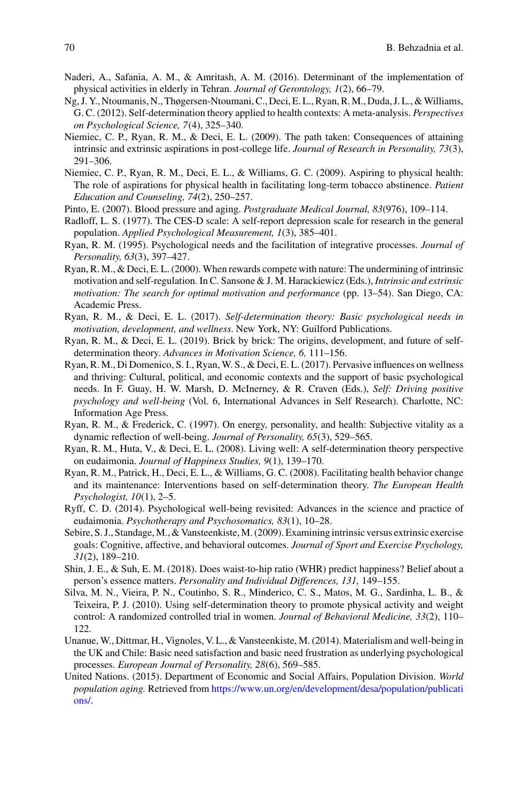- <span id="page-23-4"></span>Naderi, A., Safania, A. M., & Amritash, A. M. (2016). Determinant of the implementation of physical activities in elderly in Tehran. *Journal of Gerontology, 1*(2), 66–79.
- <span id="page-23-6"></span>Ng, J. Y., Ntoumanis, N., Thøgersen-Ntoumani, C., Deci, E. L., Ryan, R. M., Duda, J. L., &Williams, G. C. (2012). Self-determination theory applied to health contexts: A meta-analysis. *Perspectives on Psychological Science, 7*(4), 325–340.
- <span id="page-23-15"></span>Niemiec, C. P., Ryan, R. M., & Deci, E. L. (2009). The path taken: Consequences of attaining intrinsic and extrinsic aspirations in post-college life. *Journal of Research in Personality, 73*(3), 291–306.
- <span id="page-23-16"></span>Niemiec, C. P., Ryan, R. M., Deci, E. L., & Williams, G. C. (2009). Aspiring to physical health: The role of aspirations for physical health in facilitating long-term tobacco abstinence. *Patient Education and Counseling, 74*(2), 250–257.
- <span id="page-23-18"></span>Pinto, E. (2007). Blood pressure and aging. *Postgraduate Medical Journal, 83*(976), 109–114.
- <span id="page-23-13"></span>Radloff, L. S. (1977). The CES-D scale: A self-report depression scale for research in the general population. *Applied Psychological Measurement, 1*(3), 385–401.
- <span id="page-23-8"></span>Ryan, R. M. (1995). Psychological needs and the facilitation of integrative processes. *Journal of Personality, 63*(3), 397–427.
- <span id="page-23-14"></span>Ryan, R. M., & Deci, E. L. (2000). When rewards compete with nature: The undermining of intrinsic motivation and self-regulation. In C. Sansone & J. M. Harackiewicz (Eds.), *Intrinsic and extrinsic motivation: The search for optimal motivation and performance* (pp. 13–54). San Diego, CA: Academic Press.
- <span id="page-23-0"></span>Ryan, R. M., & Deci, E. L. (2017). *Self-determination theory: Basic psychological needs in motivation, development, and wellness*. New York, NY: Guilford Publications.
- <span id="page-23-7"></span>Ryan, R. M., & Deci, E. L. (2019). Brick by brick: The origins, development, and future of selfdetermination theory. *Advances in Motivation Science, 6,* 111–156.
- <span id="page-23-19"></span>Ryan, R. M., Di Domenico, S. I., Ryan, W. S., & Deci, E. L. (2017). Pervasive influences on wellness and thriving: Cultural, political, and economic contexts and the support of basic psychological needs. In F. Guay, H. W. Marsh, D. McInerney, & R. Craven (Eds.), *Self: Driving positive psychology and well-being* (Vol. 6, International Advances in Self Research). Charlotte, NC: Information Age Press.
- <span id="page-23-12"></span>Ryan, R. M., & Frederick, C. (1997). On energy, personality, and health: Subjective vitality as a dynamic reflection of well-being. *Journal of Personality, 65*(3), 529–565.
- <span id="page-23-1"></span>Ryan, R. M., Huta, V., & Deci, E. L. (2008). Living well: A self-determination theory perspective on eudaimonia. *Journal of Happiness Studies, 9*(1), 139–170.
- <span id="page-23-9"></span>Ryan, R. M., Patrick, H., Deci, E. L., & Williams, G. C. (2008). Facilitating health behavior change and its maintenance: Interventions based on self-determination theory. *The European Health Psychologist, 10*(1), 2–5.
- <span id="page-23-2"></span>Ryff, C. D. (2014). Psychological well-being revisited: Advances in the science and practice of eudaimonia. *Psychotherapy and Psychosomatics, 83*(1), 10–28.
- <span id="page-23-5"></span>Sebire, S. J., Standage,M., & Vansteenkiste,M. (2009). Examining intrinsic versus extrinsic exercise goals: Cognitive, affective, and behavioral outcomes. *Journal of Sport and Exercise Psychology, 31*(2), 189–210.
- <span id="page-23-11"></span>Shin, J. E., & Suh, E. M. (2018). Does waist-to-hip ratio (WHR) predict happiness? Belief about a person's essence matters. *Personality and Individual Differences, 131,* 149–155.
- <span id="page-23-10"></span>Silva, M. N., Vieira, P. N., Coutinho, S. R., Minderico, C. S., Matos, M. G., Sardinha, L. B., & Teixeira, P. J. (2010). Using self-determination theory to promote physical activity and weight control: A randomized controlled trial in women. *Journal of Behavioral Medicine, 33*(2), 110– 122.
- <span id="page-23-17"></span>Unanue, W., Dittmar, H., Vignoles, V. L., & Vansteenkiste, M. (2014). Materialism and well-being in the UK and Chile: Basic need satisfaction and basic need frustration as underlying psychological processes. *European Journal of Personality, 28*(6), 569–585.
- <span id="page-23-3"></span>United Nations. (2015). Department of Economic and Social Affairs, Population Division. *World population aging.* Retrieved from [https://www.un.org/en/development/desa/population/publicati](https://www.un.org/en/development/desa/population/publications/) ons/.